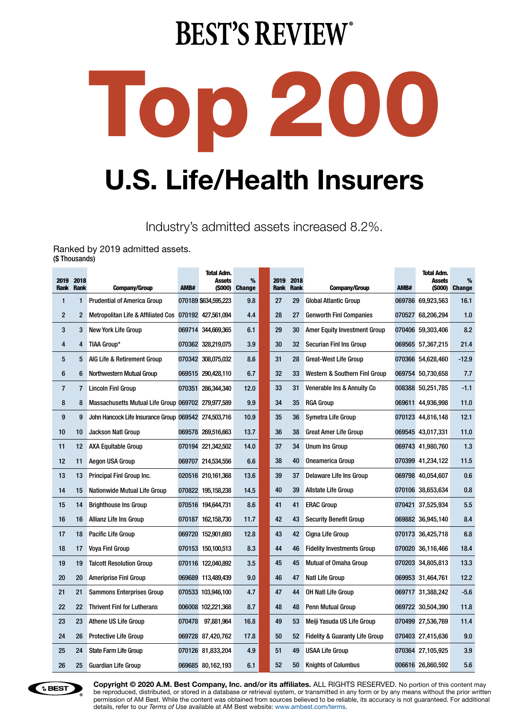## **BEST'S REVIEW®**



Industry's admitted assets increased 8.2%.

Ranked by 2019 admitted assets. (\$ Thousands)

| 2019<br><b>Rank</b> | 2018<br><b>Rank</b> | <b>Company/Group</b>                                  | AMB#   | <b>Total Adm.</b><br><b>Assets</b> | %<br>(\$000) Change | 2019<br><b>Rank</b> | 2018<br><b>Rank</b> | <b>Company/Group</b>                      | AMB# | <b>Total Adm.</b><br><b>Assets</b> | %<br>(\$000) Change |
|---------------------|---------------------|-------------------------------------------------------|--------|------------------------------------|---------------------|---------------------|---------------------|-------------------------------------------|------|------------------------------------|---------------------|
| 1                   | 1                   | <b>Prudential of America Group</b>                    |        | 070189 \$634,595,223               | 9.8                 | 27                  | 29                  | <b>Global Atlantic Group</b>              |      | 069786 69,923,563                  | 16.1                |
| $\overline{c}$      | 2                   | Metropolitan Life & Affiliated Cos 070192 427,561,094 |        |                                    | 4.4                 | 28                  | 27                  | <b>Genworth Finl Companies</b>            |      | 070527 68,206,294                  | 1.0                 |
| 3                   | 3                   | New York Life Group                                   |        | 069714 344,669,365                 | 6.1                 | 29                  | 30                  | <b>Amer Equity Investment Group</b>       |      | 070406 59,303,406                  | 8.2                 |
| 4                   | 4                   | TIAA Group*                                           |        | 070362 328,219,075                 | 3.9                 | 30                  | 32                  | Securian Finl Ins Group                   |      | 069565 57,367,215                  | 21.4                |
| 5                   | 5                   | AIG Life & Retirement Group                           |        | 070342 308,075,032                 | 8.6                 | 31                  | 28                  | <b>Great-West Life Group</b>              |      | 070366 54,628,460                  | $-12.9$             |
| 6                   | 6                   | Northwestern Mutual Group                             |        | 069515 290,428,110                 | 6.7                 | 32                  | 33                  | Western & Southern Finl Group             |      | 069754 50,730,658                  | 7.7                 |
| $\overline{7}$      | $\overline{7}$      | <b>Lincoln Finl Group</b>                             |        | 070351 286,344,340                 | 12.0                | 33                  | 31                  | Venerable Ins & Annuity Co                |      | 008388 50,251,785                  | $-1.1$              |
| 8                   | 8                   | Massachusetts Mutual Life Group 069702 279,977,589    |        |                                    | 9.9                 | 34                  | 35                  | <b>RGA Group</b>                          |      | 069611 44,936,998                  | 11.0                |
| $\boldsymbol{9}$    | 9                   | John Hancock Life Insurance Group 069542 274,503,716  |        |                                    | 10.9                | 35                  | 36                  | Symetra Life Group                        |      | 070123 44,816,148                  | 12.1                |
| 10                  | 10                  | <b>Jackson Natl Group</b>                             |        | 069578 269,516,663                 | 13.7                | 36                  | 38                  | <b>Great Amer Life Group</b>              |      | 069545 43,017,331                  | 11.0                |
| 11                  | 12                  | <b>AXA Equitable Group</b>                            |        | 070194 221,342,502                 | 14.0                | 37                  | 34                  | <b>Unum Ins Group</b>                     |      | 069743 41,980,760                  | 1.3                 |
| 12                  | 11                  | <b>Aegon USA Group</b>                                |        | 069707 214,534,556                 | 6.6                 | 38                  | 40                  | <b>Oneamerica Group</b>                   |      | 070399 41,234,122                  | 11.5                |
| 13                  | 13                  | Principal Finl Group Inc.                             |        | 020516 210, 161, 368               | 13.6                | 39                  | 37                  | <b>Delaware Life Ins Group</b>            |      | 069798 40,054,607                  | 0.6                 |
| 14                  | 15                  | Nationwide Mutual Life Group                          |        | 070822 195,158,238                 | 14.5                | 40                  | 39                  | <b>Allstate Life Group</b>                |      | 070106 38,653,634                  | 0.8                 |
| 15                  | 14                  | <b>Brighthouse Ins Group</b>                          |        | 070516 194,644,731                 | 8.6                 | 41                  | 41                  | <b>ERAC Group</b>                         |      | 070421 37,525,934                  | 5.5                 |
| 16                  | 16                  | Allianz Life Ins Group                                |        | 070187 162.158.730                 | 11.7                | 42                  | 43                  | <b>Security Benefit Group</b>             |      | 069882 36.945.140                  | 8.4                 |
| 17                  | 18                  | Pacific Life Group                                    |        | 069720 152,901,693                 | 12.8                | 43                  | 42                  | Cigna Life Group                          |      | 070173 36,425,718                  | 6.8                 |
| 18                  | 17                  | Voya Finl Group                                       |        | 070153 150,100,513                 | 8.3                 | 44                  | 46                  | <b>Fidelity Investments Group</b>         |      | 070020 36,116,466                  | 18.4                |
| 19                  | 19                  | <b>Talcott Resolution Group</b>                       |        | 070116 122,040,892                 | 3.5                 | 45                  | 45                  | <b>Mutual of Omaha Group</b>              |      | 070203 34,805,813                  | 13.3                |
| 20                  | 20                  | <b>Ameriprise Finl Group</b>                          |        | 069689 113,489,439                 | 9.0                 | 46                  | 47                  | <b>Natl Life Group</b>                    |      | 069953 31,464,761                  | 12.2                |
| 21                  | 21                  | <b>Sammons Enterprises Group</b>                      |        | 070533 103,946,100                 | 4.7                 | 47                  | 44                  | <b>OH Natl Life Group</b>                 |      | 069717 31,388,242                  | $-5.6$              |
| 22                  | 22                  | <b>Thrivent Finl for Lutherans</b>                    |        | 006008 102,221,368                 | 8.7                 | 48                  | 48                  | <b>Penn Mutual Group</b>                  |      | 069722 30,504,390                  | 11.8                |
| 23                  | 23                  | Athene US Life Group                                  | 070478 | 97,881,964                         | 16.8                | 49                  | 53                  | Meiji Yasuda US Life Group                |      | 070499 27,536,769                  | 11.4                |
| 24                  | 26                  | <b>Protective Life Group</b>                          |        | 069728 87,420,762                  | 17.8                | 50                  | 52                  | <b>Fidelity &amp; Guaranty Life Group</b> |      | 070403 27,415,636                  | 9.0                 |
| 25                  | 24                  | <b>State Farm Life Group</b>                          |        | 070126 81,833,204                  | 4.9                 | 51                  | 49                  | <b>USAA Life Group</b>                    |      | 070364 27,105,925                  | 3.9                 |
| 26                  | 25                  | <b>Guardian Life Group</b>                            |        | 069685 80,162,193                  | 6.1                 | 52                  | 50                  | <b>Knights of Columbus</b>                |      | 006616 26,860,592                  | 5.6                 |



**Copyright © 2020 A.M. Best Company, Inc. and/or its affiliates.** ALL RIGHTS RESERVED. No portion of this content may be reproduced, distributed, or stored in a database or retrieval system, or transmitted in any form or by any means without the prior written permission of AM Best. While the content was obtained from sources believed to be reliable, its accuracy is not guaranteed. For additional details, refer to our *Terms of Use* available at AM Best website: www.ambest.com/terms.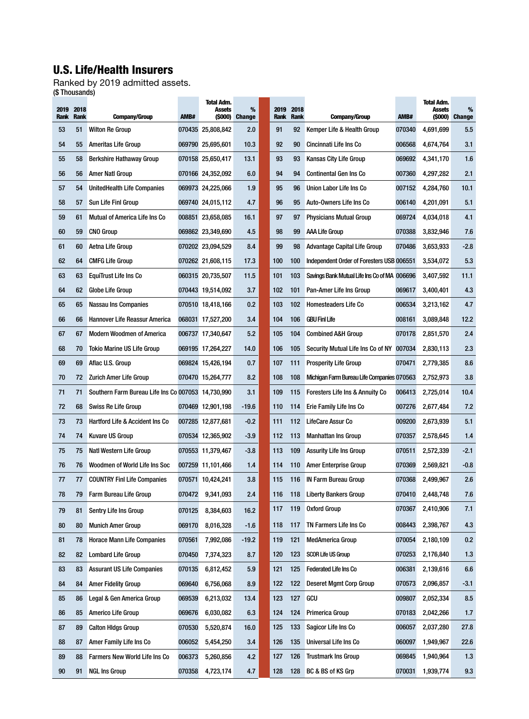## U.S. Life/Health Insurers

Ranked by 2019 admitted assets. (\$ Thousands)÷

| 2019<br><b>Rank</b><br>53<br>54<br>55<br>56<br>57 | 2018<br><b>Rank</b><br>51<br>55<br>58<br>56<br>54 | <b>Company/Group</b><br><b>Wilton Re Group</b><br>Ameritas Life Group | AMB#   | Assets<br>(\$000)<br>070435 25,808,842 | %<br><b>Change</b> |     | 2019<br><b>Rank</b> | 2018<br>Rank | <b>Company/Group</b>                         | AMB#   | Assets<br>(\$000) | %<br><b>Change</b> |
|---------------------------------------------------|---------------------------------------------------|-----------------------------------------------------------------------|--------|----------------------------------------|--------------------|-----|---------------------|--------------|----------------------------------------------|--------|-------------------|--------------------|
|                                                   |                                                   |                                                                       |        |                                        |                    |     |                     |              |                                              |        |                   |                    |
|                                                   |                                                   |                                                                       |        |                                        | 2.0                |     | 91                  | 92           | Kemper Life & Health Group                   | 070340 | 4,691,699         | 5.5                |
|                                                   |                                                   |                                                                       |        | 069790 25,695,601                      | 10.3               |     | 92                  | 90           | Cincinnati Life Ins Co                       | 006568 | 4,674,764         | 3.1                |
|                                                   |                                                   | <b>Berkshire Hathaway Group</b>                                       |        | 070158 25,650,417                      | 13.1               |     | 93                  | 93           | Kansas City Life Group                       | 069692 | 4,341,170         | 1.6                |
|                                                   |                                                   | Amer Natl Group                                                       |        | 070166 24,352,092                      | 6.0                |     | 94                  | 94           | <b>Continental Gen Ins Co</b>                | 007360 | 4,297,282         | 2.1                |
|                                                   |                                                   | UnitedHealth Life Companies                                           |        | 069973 24,225,066                      | 1.9                |     | 95                  | 96           | Union Labor Life Ins Co                      | 007152 | 4,284,760         | 10.1               |
| 58                                                | 57                                                | Sun Life Finl Group                                                   |        | 069740 24,015,112                      | 4.7                |     | 96                  | 95           | Auto-Owners Life Ins Co                      | 006140 | 4,201,091         | 5.1                |
| 59                                                | 61                                                | Mutual of America Life Ins Co                                         |        | 008851 23,658,085                      | 16.1               |     | 97                  | 97           | <b>Physicians Mutual Group</b>               | 069724 | 4,034,018         | 4.1                |
| 60                                                | 59                                                | <b>CNO Group</b>                                                      |        | 069862 23,349,690                      | 4.5                |     | 98                  | 99           | AAA Life Group                               | 070388 | 3,832,946         | 7.6                |
| 61                                                | 60                                                | Aetna Life Group                                                      |        | 070202 23,094,529                      | 8.4                |     | 99                  | 98           | Advantage Capital Life Group                 | 070486 | 3,653,933         | $-2.8$             |
| 62                                                | 64                                                | <b>CMFG Life Group</b>                                                |        | 070262 21,608,115                      | 17.3               | 100 |                     | 100          | Independent Order of Foresters USB 006551    |        | 3,534,072         | 5.3                |
| 63                                                | 63                                                | EquiTrust Life Ins Co                                                 |        | 060315 20,735,507                      | 11.5               | 101 |                     | 103          | Savings Bank Mutual Life Ins Co of MA 006696 |        | 3,407,592         | 11.1               |
| 64                                                | 62                                                | Globe Life Group                                                      |        | 070443 19,514,092                      | 3.7                | 102 |                     | 101          | Pan-Amer Life Ins Group                      | 069617 | 3,400,401         | 4.3                |
| 65                                                | 65                                                | <b>Nassau Ins Companies</b>                                           |        | 070510 18,418,166                      | 0.2                | 103 |                     | 102          | <b>Homesteaders Life Co</b>                  | 006534 | 3,213,162         | 4.7                |
| 66                                                | 66                                                | <b>Hannover Life Reassur America</b>                                  |        | 068031 17,527,200                      | 3.4                | 104 |                     | 106          | <b>GBU Finl Life</b>                         | 008161 | 3,089,848         | 12.2               |
| 67                                                | 67                                                | <b>Modern Woodmen of America</b>                                      |        | 006737 17,340,647                      | 5.2                | 105 |                     | 104          | <b>Combined A&amp;H Group</b>                | 070178 | 2,851,570         | 2.4                |
| 68                                                | 70                                                | <b>Tokio Marine US Life Group</b>                                     |        | 069195 17,264,227                      | 14.0               | 106 |                     | 105          | Security Mutual Life Ins Co of NY 007034     |        | 2,830,113         | 2.3                |
| 69                                                | 69                                                | Aflac U.S. Group                                                      |        | 069824 15,426,194                      | 0.7                | 107 |                     | 111          | <b>Prosperity Life Group</b>                 | 070471 | 2,779,385         | 8.6                |
| 70                                                | 72                                                | Zurich Amer Life Group                                                |        | 070470 15,264,777                      | 8.2                | 108 |                     | 108          | Michigan Farm Bureau Life Companies 070563   |        | 2,752,973         | 3.8                |
| 71                                                | 71                                                | Southern Farm Bureau Life Ins Co 007053 14,730,990                    |        |                                        | 3.1                | 109 |                     | 115          | <b>Foresters Life Ins &amp; Annuity Co</b>   | 006413 | 2,725,014         | 10.4               |
| 72                                                | 68                                                | <b>Swiss Re Life Group</b>                                            |        | 070469 12,901,198                      | -19.6              | 110 |                     | 114          | Erie Family Life Ins Co                      | 007276 | 2,677,484         | 7.2                |
| 73                                                | 73                                                | <b>Hartford Life &amp; Accident Ins Co</b>                            |        | 007285 12,877,681                      | $-0.2$             | 111 |                     | 112          | LifeCare Assur Co                            | 009200 | 2,673,939         | 5.1                |
| 74                                                | 74                                                | <b>Kuvare US Group</b>                                                |        | 070534 12,365,902                      | $-3.9$             | 112 |                     | 113          | <b>Manhattan Ins Group</b>                   | 070357 | 2,578,645         | 1.4                |
| 75                                                | 75                                                | Natl Western Life Group                                               |        | 070553 11,379,467                      | $-3.8$             | 113 |                     | 109          | <b>Assurity Life Ins Group</b>               | 070511 | 2,572,339         | $-2.1$             |
| 76                                                | 76                                                | Woodmen of World Life Ins Soc                                         |        | 007259 11,101,466                      | 1.4                | 114 |                     | 110          | <b>Amer Enterprise Group</b>                 | 070369 | 2,569,821         | $-0.8$             |
| 77                                                | 77                                                | <b>COUNTRY Finl Life Companies</b>                                    |        | 070571 10,424,241                      | 3.8                | 115 |                     | 116          | <b>IN Farm Bureau Group</b>                  | 070368 | 2,499,967         | 2.6                |
| 78                                                | 79                                                | <b>Farm Bureau Life Group</b>                                         | 070472 | 9,341,093                              | 2.4                | 116 |                     | 118          | <b>Liberty Bankers Group</b>                 | 070410 | 2,448,748         | 7.6                |
| 79                                                | 81                                                | Sentry Life Ins Group                                                 |        | 070125 8,384,603                       | 16.2               | 117 |                     | 119          | <b>Oxford Group</b>                          | 070367 | 2,410,906         | 7.1                |
| 80                                                | 80                                                | <b>Munich Amer Group</b>                                              | 069170 | 8,016,328                              | $-1.6$             | 118 |                     | 117          | TN Farmers Life Ins Co                       | 008443 | 2,398,767         | 4.3                |
| 81                                                | 78                                                | <b>Horace Mann Life Companies</b>                                     | 070561 | 7,992,086                              | -19.2              | 119 |                     | 121          | <b>MedAmerica Group</b>                      | 070054 | 2,180,109         | 0.2                |
| 82                                                | 82                                                | <b>Lombard Life Group</b>                                             | 070450 | 7,374,323                              | 8.7                | 120 |                     | 123          | <b>SCOR Life US Group</b>                    | 070253 | 2,176,840         | 1.3                |
| 83                                                | 83                                                | <b>Assurant US Life Companies</b>                                     | 070135 | 6,812,452                              | 5.9                | 121 |                     | 125          | <b>Federated Life Ins Co</b>                 | 006381 | 2,139,616         | 6.6                |
| 84                                                | 84                                                | <b>Amer Fidelity Group</b>                                            | 069640 | 6,756,068                              | 8.9                | 122 |                     | 122          | <b>Deseret Mgmt Corp Group</b>               | 070573 | 2,096,857         | $-3.1$             |
| 85                                                | 86                                                | Legal & Gen America Group                                             | 069539 | 6,213,032                              | 13.4               | 123 |                     | 127          | gCu                                          | 009807 | 2,052,334         | 8.5                |
| 86                                                | 85                                                | Americo Life Group                                                    | 069676 | 6,030,082                              | 6.3                | 124 |                     | 124          | Primerica Group                              | 070183 | 2,042,266         | 1.7                |
| 87                                                | 89                                                | <b>Calton Hidgs Group</b>                                             | 070530 | 5,520,874                              | 16.0               | 125 |                     | 133          | Sagicor Life Ins Co                          | 006057 | 2,037,280         | 27.8               |
| 88                                                | 87                                                | Amer Family Life Ins Co                                               | 006052 | 5,454,250                              | 3.4                | 126 |                     | 135          | Universal Life Ins Co                        | 060097 | 1,949,967         | 22.6               |
| 89                                                | 88                                                | <b>Farmers New World Life Ins Co</b>                                  | 006373 | 5,260,856                              | 4.2                | 127 |                     | 126          | <b>Trustmark Ins Group</b>                   | 069845 | 1,940,964         | 1.3                |
| 90                                                | 91                                                | <b>NGL Ins Group</b>                                                  | 070358 | 4,723,174                              | 4.7                | 128 |                     | 128          | BC & BS of KS Grp                            | 070031 | 1,939,774         | 9.3                |

÷

÷

÷